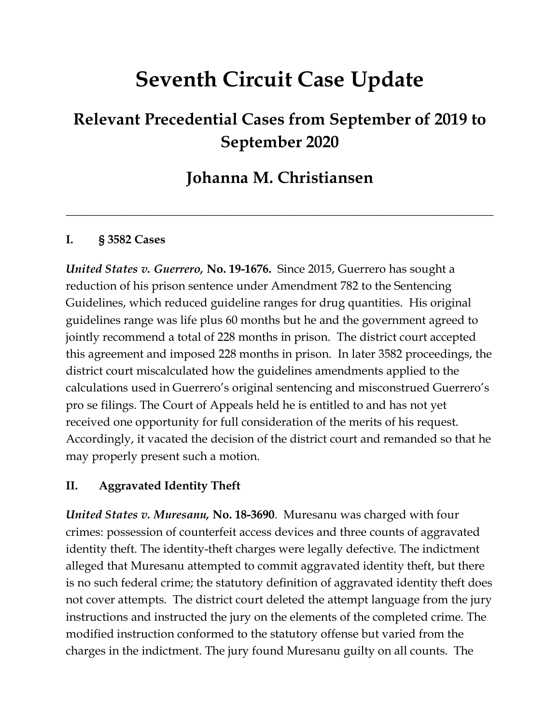# **Seventh Circuit Case Update**

## **Relevant Precedential Cases from September of 2019 to September 2020**

## **Johanna M. Christiansen**

**\_\_\_\_\_\_\_\_\_\_\_\_\_\_\_\_\_\_\_\_\_\_\_\_\_\_\_\_\_\_\_\_\_\_\_\_\_\_\_\_\_\_\_\_\_\_\_\_\_\_\_\_\_\_\_\_\_\_\_\_\_\_\_\_\_\_\_\_\_\_\_\_**

#### **I. § 3582 Cases**

*United States v. Guerrero,* **No. 19-1676.** Since 2015, Guerrero has sought a reduction of his prison sentence under Amendment 782 to the Sentencing Guidelines, which reduced guideline ranges for drug quantities. His original guidelines range was life plus 60 months but he and the government agreed to jointly recommend a total of 228 months in prison. The district court accepted this agreement and imposed 228 months in prison. In later 3582 proceedings, the district court miscalculated how the guidelines amendments applied to the calculations used in Guerrero's original sentencing and misconstrued Guerrero's pro se filings. The Court of Appeals held he is entitled to and has not yet received one opportunity for full consideration of the merits of his request. Accordingly, it vacated the decision of the district court and remanded so that he may properly present such a motion.

#### **II. Aggravated Identity Theft**

*United States v. Muresanu,* **No. 18-3690**. Muresanu was charged with four crimes: possession of counterfeit access devices and three counts of aggravated identity theft. The identity-theft charges were legally defective. The indictment alleged that Muresanu attempted to commit aggravated identity theft, but there is no such federal crime; the statutory definition of aggravated identity theft does not cover attempts. The district court deleted the attempt language from the jury instructions and instructed the jury on the elements of the completed crime. The modified instruction conformed to the statutory offense but varied from the charges in the indictment. The jury found Muresanu guilty on all counts. The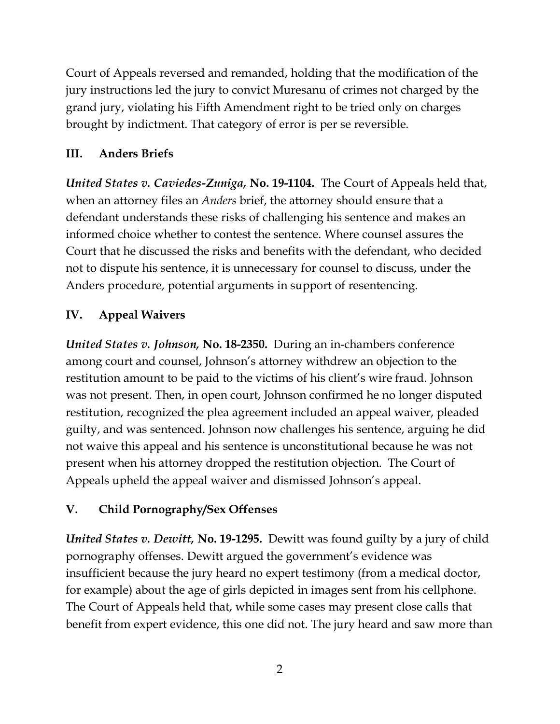Court of Appeals reversed and remanded, holding that the modification of the jury instructions led the jury to convict Muresanu of crimes not charged by the grand jury, violating his Fifth Amendment right to be tried only on charges brought by indictment. That category of error is per se reversible.

## **III. Anders Briefs**

*United States v. Caviedes-Zuniga,* **No. 19-1104.** The Court of Appeals held that, when an attorney files an *Anders* brief, the attorney should ensure that a defendant understands these risks of challenging his sentence and makes an informed choice whether to contest the sentence. Where counsel assures the Court that he discussed the risks and benefits with the defendant, who decided not to dispute his sentence, it is unnecessary for counsel to discuss, under the Anders procedure, potential arguments in support of resentencing.

## **IV. Appeal Waivers**

*United States v. Johnson,* **No. 18-2350.** During an in-chambers conference among court and counsel, Johnson's attorney withdrew an objection to the restitution amount to be paid to the victims of his client's wire fraud. Johnson was not present. Then, in open court, Johnson confirmed he no longer disputed restitution, recognized the plea agreement included an appeal waiver, pleaded guilty, and was sentenced. Johnson now challenges his sentence, arguing he did not waive this appeal and his sentence is unconstitutional because he was not present when his attorney dropped the restitution objection. The Court of Appeals upheld the appeal waiver and dismissed Johnson's appeal.

## **V. Child Pornography/Sex Offenses**

*United States v. Dewitt,* **No. 19-1295.** Dewitt was found guilty by a jury of child pornography offenses. Dewitt argued the government's evidence was insufficient because the jury heard no expert testimony (from a medical doctor, for example) about the age of girls depicted in images sent from his cellphone. The Court of Appeals held that, while some cases may present close calls that benefit from expert evidence, this one did not. The jury heard and saw more than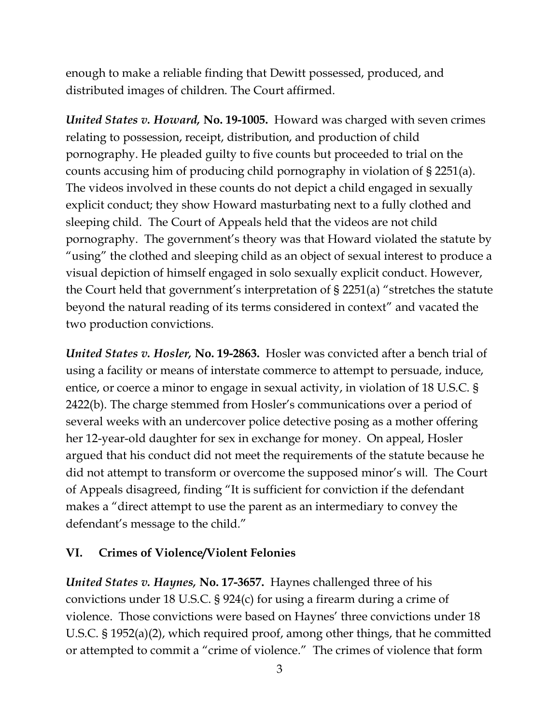enough to make a reliable finding that Dewitt possessed, produced, and distributed images of children. The Court affirmed.

*United States v. Howard,* **No. 19-1005.** Howard was charged with seven crimes relating to possession, receipt, distribution, and production of child pornography. He pleaded guilty to five counts but proceeded to trial on the counts accusing him of producing child pornography in violation of § 2251(a). The videos involved in these counts do not depict a child engaged in sexually explicit conduct; they show Howard masturbating next to a fully clothed and sleeping child. The Court of Appeals held that the videos are not child pornography. The government's theory was that Howard violated the statute by "using" the clothed and sleeping child as an object of sexual interest to produce a visual depiction of himself engaged in solo sexually explicit conduct. However, the Court held that government's interpretation of § 2251(a) "stretches the statute beyond the natural reading of its terms considered in context" and vacated the two production convictions.

*United States v. Hosler,* **No. 19-2863.** Hosler was convicted after a bench trial of using a facility or means of interstate commerce to attempt to persuade, induce, entice, or coerce a minor to engage in sexual activity, in violation of 18 U.S.C. § 2422(b). The charge stemmed from Hosler's communications over a period of several weeks with an undercover police detective posing as a mother offering her 12-year-old daughter for sex in exchange for money. On appeal, Hosler argued that his conduct did not meet the requirements of the statute because he did not attempt to transform or overcome the supposed minor's will. The Court of Appeals disagreed, finding "It is sufficient for conviction if the defendant makes a "direct attempt to use the parent as an intermediary to convey the defendant's message to the child."

## **VI. Crimes of Violence/Violent Felonies**

*United States v. Haynes,* **No. 17-3657.** Haynes challenged three of his convictions under 18 U.S.C. § 924(c) for using a firearm during a crime of violence. Those convictions were based on Haynes' three convictions under 18 U.S.C. § 1952(a)(2), which required proof, among other things, that he committed or attempted to commit a "crime of violence." The crimes of violence that form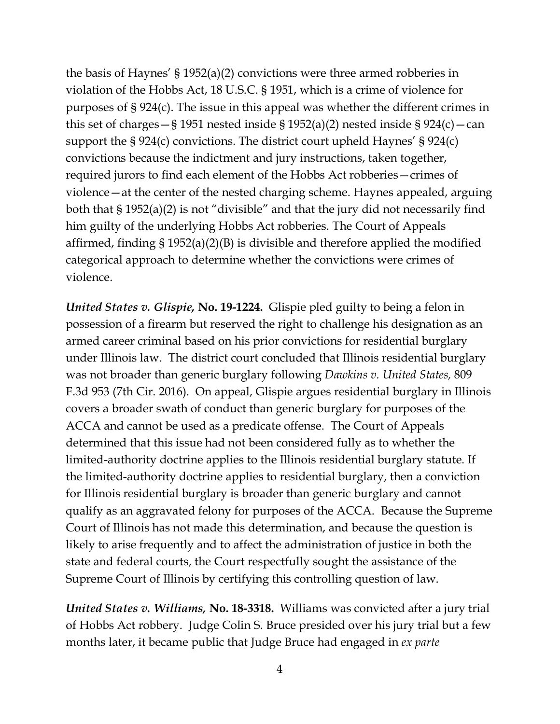the basis of Haynes' § 1952(a)(2) convictions were three armed robberies in violation of the Hobbs Act, 18 U.S.C. § 1951, which is a crime of violence for purposes of § 924(c). The issue in this appeal was whether the different crimes in this set of charges  $-$  § 1951 nested inside § 1952(a)(2) nested inside § 924(c)  $-$  can support the § 924(c) convictions. The district court upheld Haynes' § 924(c) convictions because the indictment and jury instructions, taken together, required jurors to find each element of the Hobbs Act robberies—crimes of violence—at the center of the nested charging scheme. Haynes appealed, arguing both that § 1952(a)(2) is not "divisible" and that the jury did not necessarily find him guilty of the underlying Hobbs Act robberies. The Court of Appeals affirmed, finding § 1952(a)(2)(B) is divisible and therefore applied the modified categorical approach to determine whether the convictions were crimes of violence.

*United States v. Glispie,* **No. 19-1224.** Glispie pled guilty to being a felon in possession of a firearm but reserved the right to challenge his designation as an armed career criminal based on his prior convictions for residential burglary under Illinois law. The district court concluded that Illinois residential burglary was not broader than generic burglary following *Dawkins v. United States,* 809 F.3d 953 (7th Cir. 2016). On appeal, Glispie argues residential burglary in Illinois covers a broader swath of conduct than generic burglary for purposes of the ACCA and cannot be used as a predicate offense. The Court of Appeals determined that this issue had not been considered fully as to whether the limited-authority doctrine applies to the Illinois residential burglary statute. If the limited-authority doctrine applies to residential burglary, then a conviction for Illinois residential burglary is broader than generic burglary and cannot qualify as an aggravated felony for purposes of the ACCA. Because the Supreme Court of Illinois has not made this determination, and because the question is likely to arise frequently and to affect the administration of justice in both the state and federal courts, the Court respectfully sought the assistance of the Supreme Court of Illinois by certifying this controlling question of law.

*United States v. Williams,* **No. 18-3318.** Williams was convicted after a jury trial of Hobbs Act robbery. Judge Colin S. Bruce presided over his jury trial but a few months later, it became public that Judge Bruce had engaged in *ex parte*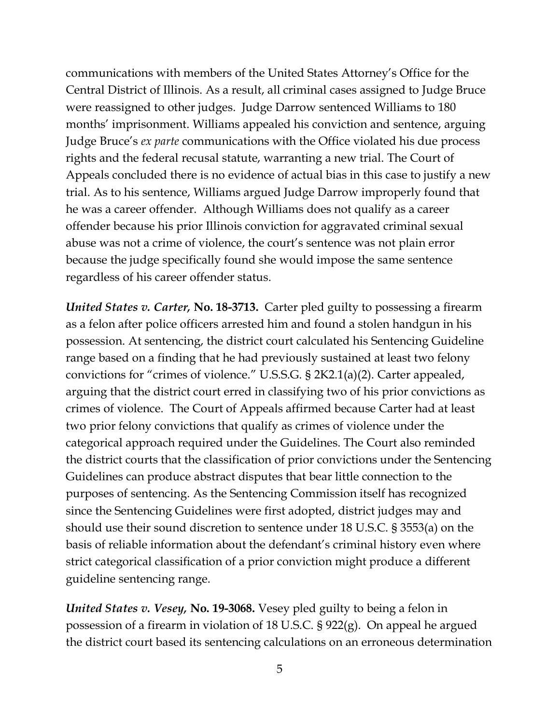communications with members of the United States Attorney's Office for the Central District of Illinois. As a result, all criminal cases assigned to Judge Bruce were reassigned to other judges. Judge Darrow sentenced Williams to 180 months' imprisonment. Williams appealed his conviction and sentence, arguing Judge Bruce's *ex parte* communications with the Office violated his due process rights and the federal recusal statute, warranting a new trial. The Court of Appeals concluded there is no evidence of actual bias in this case to justify a new trial. As to his sentence, Williams argued Judge Darrow improperly found that he was a career offender. Although Williams does not qualify as a career offender because his prior Illinois conviction for aggravated criminal sexual abuse was not a crime of violence, the court's sentence was not plain error because the judge specifically found she would impose the same sentence regardless of his career offender status.

*United States v. Carter,* **No. 18-3713.** Carter pled guilty to possessing a firearm as a felon after police officers arrested him and found a stolen handgun in his possession. At sentencing, the district court calculated his Sentencing Guideline range based on a finding that he had previously sustained at least two felony convictions for "crimes of violence." U.S.S.G. § 2K2.1(a)(2). Carter appealed, arguing that the district court erred in classifying two of his prior convictions as crimes of violence. The Court of Appeals affirmed because Carter had at least two prior felony convictions that qualify as crimes of violence under the categorical approach required under the Guidelines. The Court also reminded the district courts that the classification of prior convictions under the Sentencing Guidelines can produce abstract disputes that bear little connection to the purposes of sentencing. As the Sentencing Commission itself has recognized since the Sentencing Guidelines were first adopted, district judges may and should use their sound discretion to sentence under 18 U.S.C. § 3553(a) on the basis of reliable information about the defendant's criminal history even where strict categorical classification of a prior conviction might produce a different guideline sentencing range.

*United States v. Vesey,* **No. 19-3068.** Vesey pled guilty to being a felon in possession of a firearm in violation of 18 U.S.C. § 922(g). On appeal he argued the district court based its sentencing calculations on an erroneous determination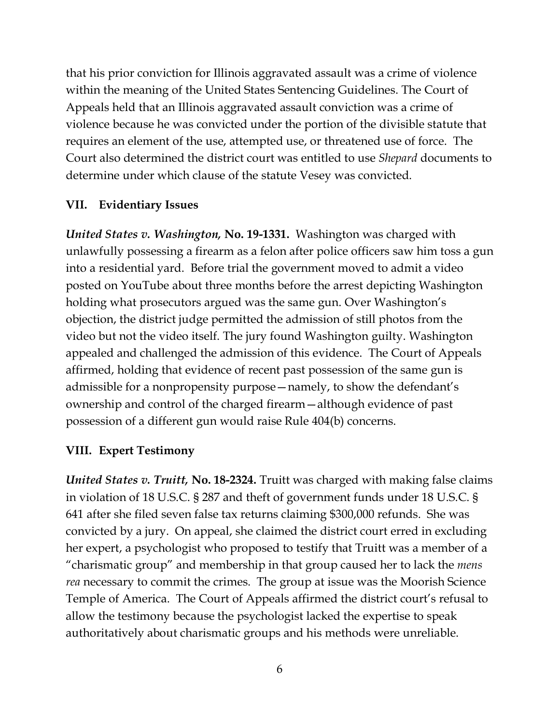that his prior conviction for Illinois aggravated assault was a crime of violence within the meaning of the United States Sentencing Guidelines. The Court of Appeals held that an Illinois aggravated assault conviction was a crime of violence because he was convicted under the portion of the divisible statute that requires an element of the use, attempted use, or threatened use of force. The Court also determined the district court was entitled to use *Shepard* documents to determine under which clause of the statute Vesey was convicted.

#### **VII. Evidentiary Issues**

*United States v. Washington,* **No. 19-1331.** Washington was charged with unlawfully possessing a firearm as a felon after police officers saw him toss a gun into a residential yard. Before trial the government moved to admit a video posted on YouTube about three months before the arrest depicting Washington holding what prosecutors argued was the same gun. Over Washington's objection, the district judge permitted the admission of still photos from the video but not the video itself. The jury found Washington guilty. Washington appealed and challenged the admission of this evidence. The Court of Appeals affirmed, holding that evidence of recent past possession of the same gun is admissible for a nonpropensity purpose—namely, to show the defendant's ownership and control of the charged firearm—although evidence of past possession of a different gun would raise Rule 404(b) concerns.

## **VIII. Expert Testimony**

*United States v. Truitt,* **No. 18-2324.** Truitt was charged with making false claims in violation of 18 U.S.C. § 287 and theft of government funds under 18 U.S.C. § 641 after she filed seven false tax returns claiming \$300,000 refunds. She was convicted by a jury. On appeal, she claimed the district court erred in excluding her expert, a psychologist who proposed to testify that Truitt was a member of a "charismatic group" and membership in that group caused her to lack the *mens rea* necessary to commit the crimes. The group at issue was the Moorish Science Temple of America. The Court of Appeals affirmed the district court's refusal to allow the testimony because the psychologist lacked the expertise to speak authoritatively about charismatic groups and his methods were unreliable.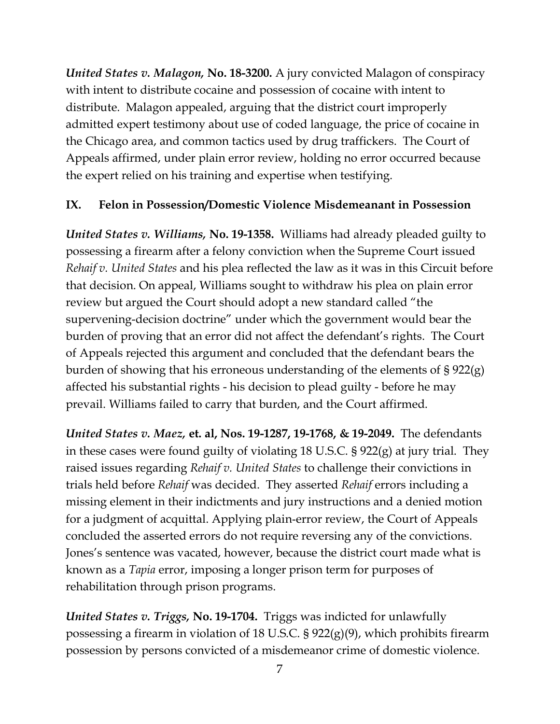*United States v. Malagon,* **No. 18-3200.** A jury convicted Malagon of conspiracy with intent to distribute cocaine and possession of cocaine with intent to distribute. Malagon appealed, arguing that the district court improperly admitted expert testimony about use of coded language, the price of cocaine in the Chicago area, and common tactics used by drug traffickers. The Court of Appeals affirmed, under plain error review, holding no error occurred because the expert relied on his training and expertise when testifying.

## **IX. Felon in Possession/Domestic Violence Misdemeanant in Possession**

*United States v. Williams,* **No. 19-1358.** Williams had already pleaded guilty to possessing a firearm after a felony conviction when the Supreme Court issued *Rehaif v. United States* and his plea reflected the law as it was in this Circuit before that decision. On appeal, Williams sought to withdraw his plea on plain error review but argued the Court should adopt a new standard called "the supervening-decision doctrine" under which the government would bear the burden of proving that an error did not affect the defendant's rights. The Court of Appeals rejected this argument and concluded that the defendant bears the burden of showing that his erroneous understanding of the elements of § 922(g) affected his substantial rights - his decision to plead guilty - before he may prevail. Williams failed to carry that burden, and the Court affirmed.

*United States v. Maez,* **et. al, Nos. 19-1287, 19-1768, & 19-2049.** The defendants in these cases were found guilty of violating 18 U.S.C. § 922(g) at jury trial. They raised issues regarding *Rehaif v. United States* to challenge their convictions in trials held before *Rehaif* was decided. They asserted *Rehaif* errors including a missing element in their indictments and jury instructions and a denied motion for a judgment of acquittal. Applying plain‐error review, the Court of Appeals concluded the asserted errors do not require reversing any of the convictions. Jones's sentence was vacated, however, because the district court made what is known as a *Tapia* error, imposing a longer prison term for purposes of rehabilitation through prison programs.

*United States v. Triggs,* **No. 19-1704.** Triggs was indicted for unlawfully possessing a firearm in violation of 18 U.S.C. § 922(g)(9), which prohibits firearm possession by persons convicted of a misdemeanor crime of domestic violence.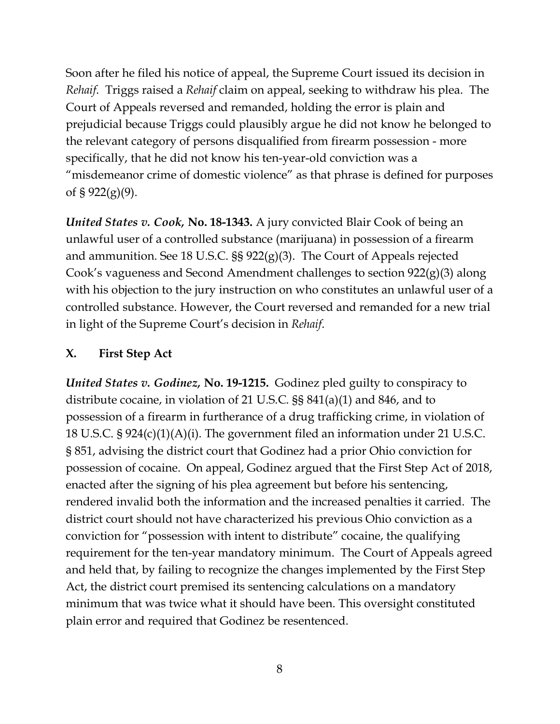Soon after he filed his notice of appeal, the Supreme Court issued its decision in *Rehaif*. Triggs raised a *Rehaif* claim on appeal, seeking to withdraw his plea. The Court of Appeals reversed and remanded, holding the error is plain and prejudicial because Triggs could plausibly argue he did not know he belonged to the relevant category of persons disqualified from firearm possession - more specifically, that he did not know his ten-year-old conviction was a "misdemeanor crime of domestic violence" as that phrase is defined for purposes of §  $922(g)(9)$ .

*United States v. Cook,* **No. 18-1343.** A jury convicted Blair Cook of being an unlawful user of a controlled substance (marijuana) in possession of a firearm and ammunition. See 18 U.S.C. §§ 922(g)(3). The Court of Appeals rejected Cook's vagueness and Second Amendment challenges to section 922(g)(3) along with his objection to the jury instruction on who constitutes an unlawful user of a controlled substance. However, the Court reversed and remanded for a new trial in light of the Supreme Court's decision in *Rehaif*.

## **X. First Step Act**

*United States v. Godinez,* **No. 19-1215.** Godinez pled guilty to conspiracy to distribute cocaine, in violation of 21 U.S.C. §§ 841(a)(1) and 846, and to possession of a firearm in furtherance of a drug trafficking crime, in violation of 18 U.S.C. § 924(c)(1)(A)(i). The government filed an information under 21 U.S.C. § 851, advising the district court that Godinez had a prior Ohio conviction for possession of cocaine. On appeal, Godinez argued that the First Step Act of 2018, enacted after the signing of his plea agreement but before his sentencing, rendered invalid both the information and the increased penalties it carried. The district court should not have characterized his previous Ohio conviction as a conviction for "possession with intent to distribute" cocaine, the qualifying requirement for the ten-year mandatory minimum. The Court of Appeals agreed and held that, by failing to recognize the changes implemented by the First Step Act, the district court premised its sentencing calculations on a mandatory minimum that was twice what it should have been. This oversight constituted plain error and required that Godinez be resentenced.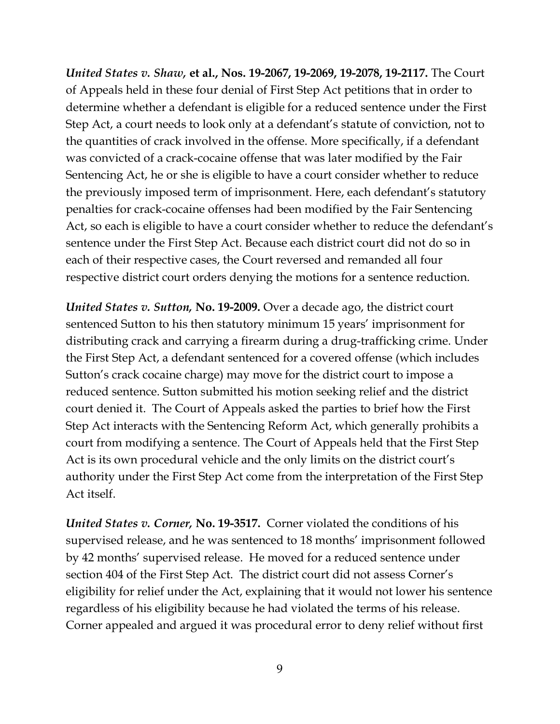*United States v. Shaw,* **et al., Nos. 19-2067, 19-2069, 19-2078, 19-2117.** The Court of Appeals held in these four denial of First Step Act petitions that in order to determine whether a defendant is eligible for a reduced sentence under the First Step Act, a court needs to look only at a defendant's statute of conviction, not to the quantities of crack involved in the offense. More specifically, if a defendant was convicted of a crack-cocaine offense that was later modified by the Fair Sentencing Act, he or she is eligible to have a court consider whether to reduce the previously imposed term of imprisonment. Here, each defendant's statutory penalties for crack-cocaine offenses had been modified by the Fair Sentencing Act, so each is eligible to have a court consider whether to reduce the defendant's sentence under the First Step Act. Because each district court did not do so in each of their respective cases, the Court reversed and remanded all four respective district court orders denying the motions for a sentence reduction.

*United States v. Sutton,* **No. 19-2009.** Over a decade ago, the district court sentenced Sutton to his then statutory minimum 15 years' imprisonment for distributing crack and carrying a firearm during a drug-trafficking crime. Under the First Step Act, a defendant sentenced for a covered offense (which includes Sutton's crack cocaine charge) may move for the district court to impose a reduced sentence. Sutton submitted his motion seeking relief and the district court denied it. The Court of Appeals asked the parties to brief how the First Step Act interacts with the Sentencing Reform Act, which generally prohibits a court from modifying a sentence. The Court of Appeals held that the First Step Act is its own procedural vehicle and the only limits on the district court's authority under the First Step Act come from the interpretation of the First Step Act itself.

*United States v. Corner,* **No. 19-3517.** Corner violated the conditions of his supervised release, and he was sentenced to 18 months' imprisonment followed by 42 months' supervised release. He moved for a reduced sentence under section 404 of the First Step Act. The district court did not assess Corner's eligibility for relief under the Act, explaining that it would not lower his sentence regardless of his eligibility because he had violated the terms of his release. Corner appealed and argued it was procedural error to deny relief without first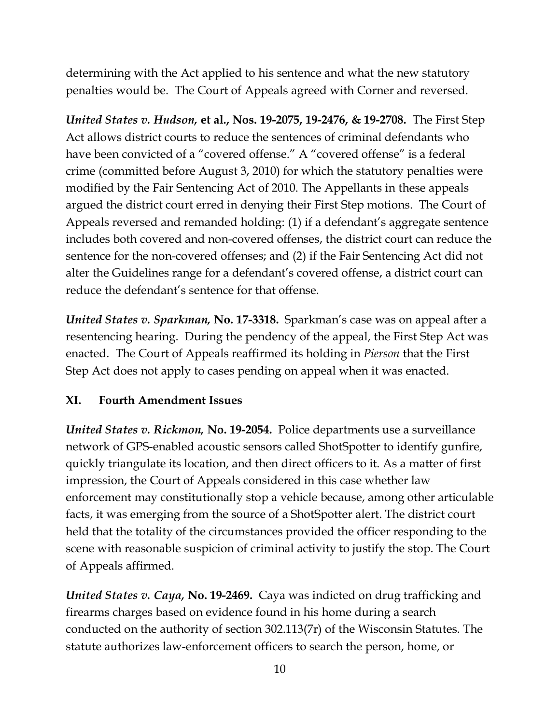determining with the Act applied to his sentence and what the new statutory penalties would be. The Court of Appeals agreed with Corner and reversed.

*United States v. Hudson,* **et al., Nos. 19-2075, 19-2476, & 19-2708.** The First Step Act allows district courts to reduce the sentences of criminal defendants who have been convicted of a "covered offense." A "covered offense" is a federal crime (committed before August 3, 2010) for which the statutory penalties were modified by the Fair Sentencing Act of 2010. The Appellants in these appeals argued the district court erred in denying their First Step motions. The Court of Appeals reversed and remanded holding: (1) if a defendant's aggregate sentence includes both covered and non-covered offenses, the district court can reduce the sentence for the non-covered offenses; and (2) if the Fair Sentencing Act did not alter the Guidelines range for a defendant's covered offense, a district court can reduce the defendant's sentence for that offense.

*United States v. Sparkman,* **No. 17-3318.** Sparkman's case was on appeal after a resentencing hearing. During the pendency of the appeal, the First Step Act was enacted. The Court of Appeals reaffirmed its holding in *Pierson* that the First Step Act does not apply to cases pending on appeal when it was enacted.

## **XI. Fourth Amendment Issues**

*United States v. Rickmon,* **No. 19-2054.** Police departments use a surveillance network of GPS-enabled acoustic sensors called ShotSpotter to identify gunfire, quickly triangulate its location, and then direct officers to it. As a matter of first impression, the Court of Appeals considered in this case whether law enforcement may constitutionally stop a vehicle because, among other articulable facts, it was emerging from the source of a ShotSpotter alert. The district court held that the totality of the circumstances provided the officer responding to the scene with reasonable suspicion of criminal activity to justify the stop. The Court of Appeals affirmed.

*United States v. Caya,* **No. 19-2469.** Caya was indicted on drug trafficking and firearms charges based on evidence found in his home during a search conducted on the authority of section 302.113(7r) of the Wisconsin Statutes. The statute authorizes law-enforcement officers to search the person, home, or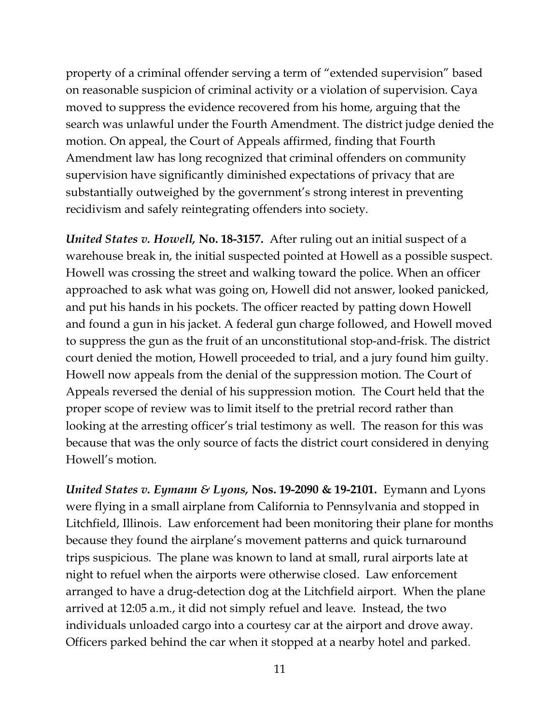property of a criminal offender serving a term of "extended supervision" based on reasonable suspicion of criminal activity or a violation of supervision. Caya moved to suppress the evidence recovered from his home, arguing that the search was unlawful under the Fourth Amendment. The district judge denied the motion. On appeal, the Court of Appeals affirmed, finding that Fourth Amendment law has long recognized that criminal offenders on community supervision have significantly diminished expectations of privacy that are substantially outweighed by the government's strong interest in preventing recidivism and safely reintegrating offenders into society.

*United States v. Howell,* **No. 18-3157.** After ruling out an initial suspect of a warehouse break in, the initial suspected pointed at Howell as a possible suspect. Howell was crossing the street and walking toward the police. When an officer approached to ask what was going on, Howell did not answer, looked panicked, and put his hands in his pockets. The officer reacted by patting down Howell and found a gun in his jacket. A federal gun charge followed, and Howell moved to suppress the gun as the fruit of an unconstitutional stop-and-frisk. The district court denied the motion, Howell proceeded to trial, and a jury found him guilty. Howell now appeals from the denial of the suppression motion. The Court of Appeals reversed the denial of his suppression motion. The Court held that the proper scope of review was to limit itself to the pretrial record rather than looking at the arresting officer's trial testimony as well. The reason for this was because that was the only source of facts the district court considered in denying Howell's motion.

*United States v. Eymann & Lyons,* **Nos. 19-2090 & 19-2101.** Eymann and Lyons were flying in a small airplane from California to Pennsylvania and stopped in Litchfield, Illinois. Law enforcement had been monitoring their plane for months because they found the airplane's movement patterns and quick turnaround trips suspicious. The plane was known to land at small, rural airports late at night to refuel when the airports were otherwise closed. Law enforcement arranged to have a drug-detection dog at the Litchfield airport. When the plane arrived at 12:05 a.m., it did not simply refuel and leave. Instead, the two individuals unloaded cargo into a courtesy car at the airport and drove away. Officers parked behind the car when it stopped at a nearby hotel and parked.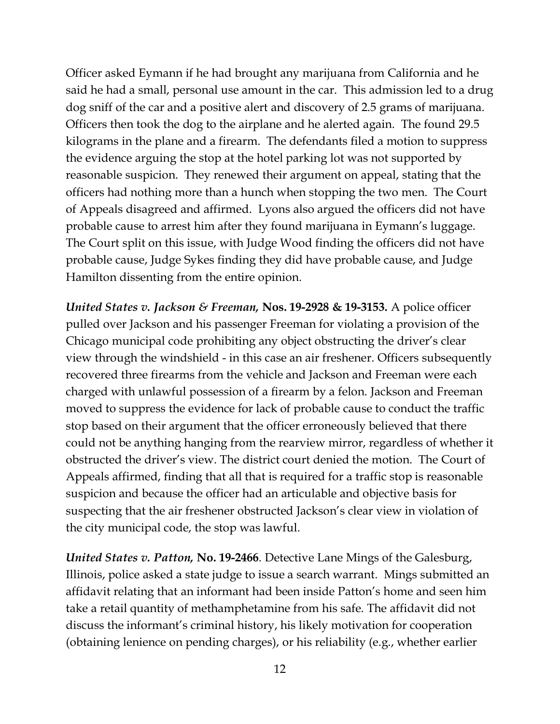Officer asked Eymann if he had brought any marijuana from California and he said he had a small, personal use amount in the car. This admission led to a drug dog sniff of the car and a positive alert and discovery of 2.5 grams of marijuana. Officers then took the dog to the airplane and he alerted again. The found 29.5 kilograms in the plane and a firearm. The defendants filed a motion to suppress the evidence arguing the stop at the hotel parking lot was not supported by reasonable suspicion. They renewed their argument on appeal, stating that the officers had nothing more than a hunch when stopping the two men. The Court of Appeals disagreed and affirmed. Lyons also argued the officers did not have probable cause to arrest him after they found marijuana in Eymann's luggage. The Court split on this issue, with Judge Wood finding the officers did not have probable cause, Judge Sykes finding they did have probable cause, and Judge Hamilton dissenting from the entire opinion.

*United States v. Jackson & Freeman,* **Nos. 19-2928 & 19-3153.** A police officer pulled over Jackson and his passenger Freeman for violating a provision of the Chicago municipal code prohibiting any object obstructing the driver's clear view through the windshield - in this case an air freshener. Officers subsequently recovered three firearms from the vehicle and Jackson and Freeman were each charged with unlawful possession of a firearm by a felon. Jackson and Freeman moved to suppress the evidence for lack of probable cause to conduct the traffic stop based on their argument that the officer erroneously believed that there could not be anything hanging from the rearview mirror, regardless of whether it obstructed the driver's view. The district court denied the motion. The Court of Appeals affirmed, finding that all that is required for a traffic stop is reasonable suspicion and because the officer had an articulable and objective basis for suspecting that the air freshener obstructed Jackson's clear view in violation of the city municipal code, the stop was lawful.

*United States v. Patton,* **No. 19-2466**. Detective Lane Mings of the Galesburg, Illinois, police asked a state judge to issue a search warrant. Mings submitted an affidavit relating that an informant had been inside Patton's home and seen him take a retail quantity of methamphetamine from his safe. The affidavit did not discuss the informant's criminal history, his likely motivation for cooperation (obtaining lenience on pending charges), or his reliability (e.g., whether earlier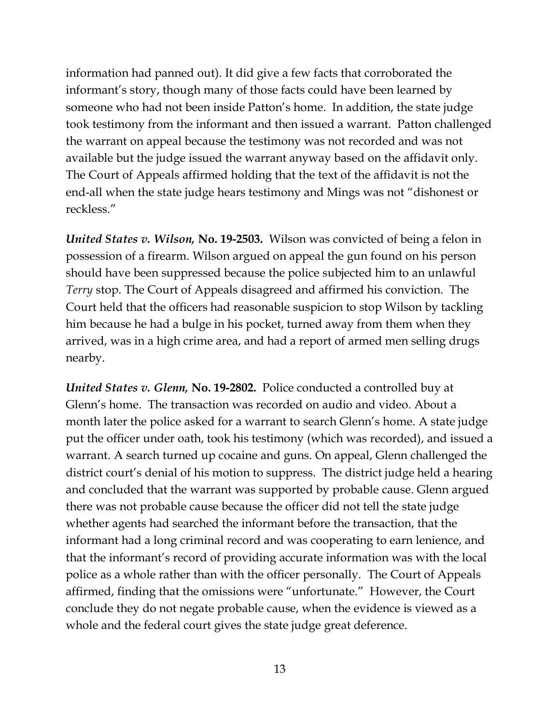information had panned out). It did give a few facts that corroborated the informant's story, though many of those facts could have been learned by someone who had not been inside Patton's home. In addition, the state judge took testimony from the informant and then issued a warrant. Patton challenged the warrant on appeal because the testimony was not recorded and was not available but the judge issued the warrant anyway based on the affidavit only. The Court of Appeals affirmed holding that the text of the affidavit is not the end-all when the state judge hears testimony and Mings was not "dishonest or reckless."

*United States v. Wilson,* **No. 19-2503.** Wilson was convicted of being a felon in possession of a firearm. Wilson argued on appeal the gun found on his person should have been suppressed because the police subjected him to an unlawful *Terry* stop. The Court of Appeals disagreed and affirmed his conviction. The Court held that the officers had reasonable suspicion to stop Wilson by tackling him because he had a bulge in his pocket, turned away from them when they arrived, was in a high crime area, and had a report of armed men selling drugs nearby.

*United States v. Glenn,* **No. 19-2802.** Police conducted a controlled buy at Glenn's home. The transaction was recorded on audio and video. About a month later the police asked for a warrant to search Glenn's home. A state judge put the officer under oath, took his testimony (which was recorded), and issued a warrant. A search turned up cocaine and guns. On appeal, Glenn challenged the district court's denial of his motion to suppress. The district judge held a hearing and concluded that the warrant was supported by probable cause. Glenn argued there was not probable cause because the officer did not tell the state judge whether agents had searched the informant before the transaction, that the informant had a long criminal record and was cooperating to earn lenience, and that the informant's record of providing accurate information was with the local police as a whole rather than with the officer personally. The Court of Appeals affirmed, finding that the omissions were "unfortunate." However, the Court conclude they do not negate probable cause, when the evidence is viewed as a whole and the federal court gives the state judge great deference.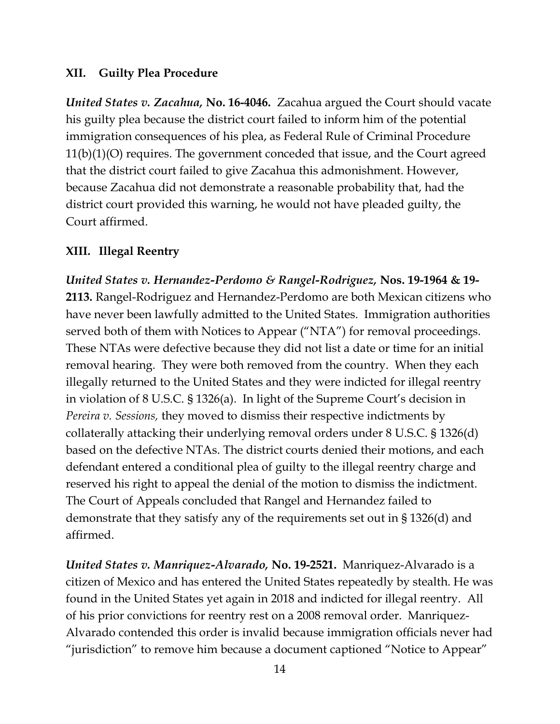#### **XII. Guilty Plea Procedure**

*United States v. Zacahua,* **No. 16-4046.** Zacahua argued the Court should vacate his guilty plea because the district court failed to inform him of the potential immigration consequences of his plea, as Federal Rule of Criminal Procedure 11(b)(1)(O) requires. The government conceded that issue, and the Court agreed that the district court failed to give Zacahua this admonishment. However, because Zacahua did not demonstrate a reasonable probability that, had the district court provided this warning, he would not have pleaded guilty, the Court affirmed.

#### **XIII. Illegal Reentry**

*United States v. Hernandez-Perdomo & Rangel-Rodriguez,* **Nos. 19-1964 & 19- 2113.** Rangel-Rodriguez and Hernandez-Perdomo are both Mexican citizens who have never been lawfully admitted to the United States. Immigration authorities served both of them with Notices to Appear ("NTA") for removal proceedings. These NTAs were defective because they did not list a date or time for an initial removal hearing. They were both removed from the country. When they each illegally returned to the United States and they were indicted for illegal reentry in violation of 8 U.S.C. § 1326(a). In light of the Supreme Court's decision in *Pereira v. Sessions,* they moved to dismiss their respective indictments by collaterally attacking their underlying removal orders under 8 U.S.C. § 1326(d) based on the defective NTAs. The district courts denied their motions, and each defendant entered a conditional plea of guilty to the illegal reentry charge and reserved his right to appeal the denial of the motion to dismiss the indictment. The Court of Appeals concluded that Rangel and Hernandez failed to demonstrate that they satisfy any of the requirements set out in § 1326(d) and affirmed.

*United States v. Manriquez-Alvarado,* **No. 19-2521.** Manriquez-Alvarado is a citizen of Mexico and has entered the United States repeatedly by stealth. He was found in the United States yet again in 2018 and indicted for illegal reentry. All of his prior convictions for reentry rest on a 2008 removal order. Manriquez-Alvarado contended this order is invalid because immigration officials never had "jurisdiction" to remove him because a document captioned "Notice to Appear"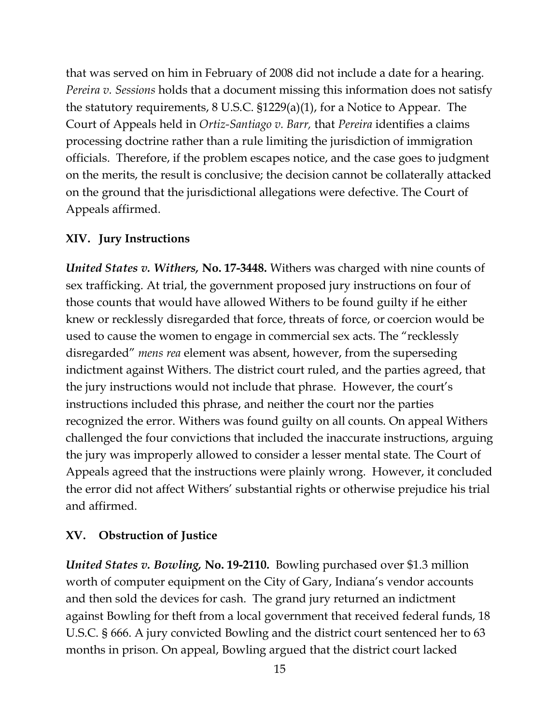that was served on him in February of 2008 did not include a date for a hearing. *Pereira v. Sessions* holds that a document missing this information does not satisfy the statutory requirements, 8 U.S.C. §1229(a)(1), for a Notice to Appear. The Court of Appeals held in *Ortiz-Santiago v. Barr,* that *Pereira* identifies a claims processing doctrine rather than a rule limiting the jurisdiction of immigration officials. Therefore, if the problem escapes notice, and the case goes to judgment on the merits, the result is conclusive; the decision cannot be collaterally attacked on the ground that the jurisdictional allegations were defective. The Court of Appeals affirmed.

#### **XIV. Jury Instructions**

*United States v. Withers,* **No. 17-3448.** Withers was charged with nine counts of sex trafficking. At trial, the government proposed jury instructions on four of those counts that would have allowed Withers to be found guilty if he either knew or recklessly disregarded that force, threats of force, or coercion would be used to cause the women to engage in commercial sex acts. The "recklessly disregarded" *mens rea* element was absent, however, from the superseding indictment against Withers. The district court ruled, and the parties agreed, that the jury instructions would not include that phrase. However, the court's instructions included this phrase, and neither the court nor the parties recognized the error. Withers was found guilty on all counts. On appeal Withers challenged the four convictions that included the inaccurate instructions, arguing the jury was improperly allowed to consider a lesser mental state. The Court of Appeals agreed that the instructions were plainly wrong. However, it concluded the error did not affect Withers' substantial rights or otherwise prejudice his trial and affirmed.

#### **XV. Obstruction of Justice**

*United States v. Bowling,* **No. 19-2110.** Bowling purchased over \$1.3 million worth of computer equipment on the City of Gary, Indiana's vendor accounts and then sold the devices for cash. The grand jury returned an indictment against Bowling for theft from a local government that received federal funds, 18 U.S.C. § 666. A jury convicted Bowling and the district court sentenced her to 63 months in prison. On appeal, Bowling argued that the district court lacked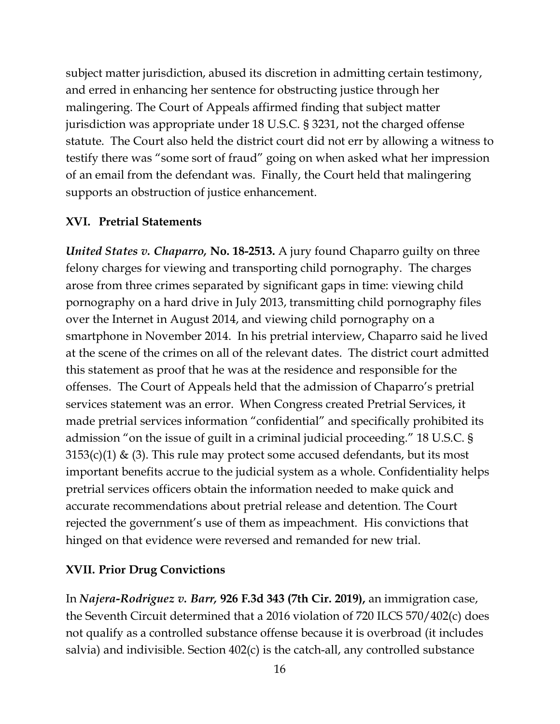subject matter jurisdiction, abused its discretion in admitting certain testimony, and erred in enhancing her sentence for obstructing justice through her malingering. The Court of Appeals affirmed finding that subject matter jurisdiction was appropriate under 18 U.S.C. § 3231, not the charged offense statute. The Court also held the district court did not err by allowing a witness to testify there was "some sort of fraud" going on when asked what her impression of an email from the defendant was. Finally, the Court held that malingering supports an obstruction of justice enhancement.

#### **XVI. Pretrial Statements**

*United States v. Chaparro,* **No. 18-2513.** A jury found Chaparro guilty on three felony charges for viewing and transporting child pornography. The charges arose from three crimes separated by significant gaps in time: viewing child pornography on a hard drive in July 2013, transmitting child pornography files over the Internet in August 2014, and viewing child pornography on a smartphone in November 2014. In his pretrial interview, Chaparro said he lived at the scene of the crimes on all of the relevant dates. The district court admitted this statement as proof that he was at the residence and responsible for the offenses. The Court of Appeals held that the admission of Chaparro's pretrial services statement was an error. When Congress created Pretrial Services, it made pretrial services information "confidential" and specifically prohibited its admission "on the issue of guilt in a criminal judicial proceeding." 18 U.S.C. §  $3153(c)(1)$  & (3). This rule may protect some accused defendants, but its most important benefits accrue to the judicial system as a whole. Confidentiality helps pretrial services officers obtain the information needed to make quick and accurate recommendations about pretrial release and detention. The Court rejected the government's use of them as impeachment. His convictions that hinged on that evidence were reversed and remanded for new trial.

#### **XVII. Prior Drug Convictions**

In *Najera-Rodriguez v. Barr,* **926 F.3d 343 (7th Cir. 2019),** an immigration case, the Seventh Circuit determined that a 2016 violation of 720 ILCS 570/402(c) does not qualify as a controlled substance offense because it is overbroad (it includes salvia) and indivisible. Section 402(c) is the catch-all, any controlled substance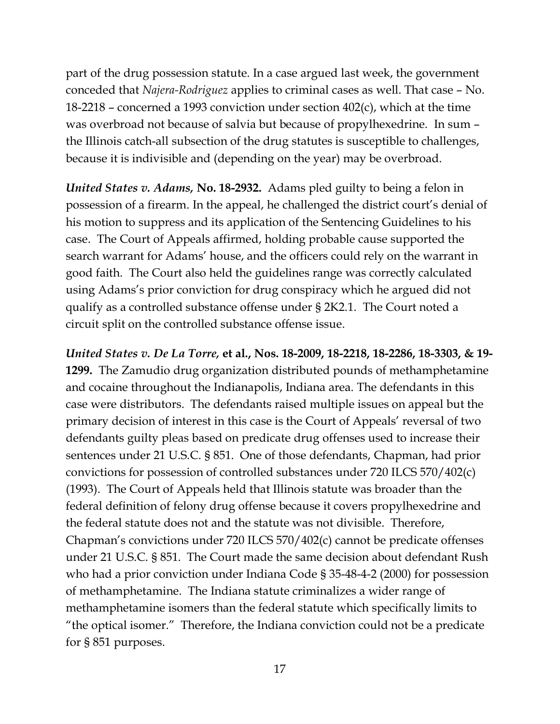part of the drug possession statute. In a case argued last week, the government conceded that *Najera-Rodriguez* applies to criminal cases as well. That case – No. 18-2218 – concerned a 1993 conviction under section 402(c), which at the time was overbroad not because of salvia but because of propylhexedrine. In sum – the Illinois catch-all subsection of the drug statutes is susceptible to challenges, because it is indivisible and (depending on the year) may be overbroad.

*United States v. Adams,* **No. 18-2932.** Adams pled guilty to being a felon in possession of a firearm. In the appeal, he challenged the district court's denial of his motion to suppress and its application of the Sentencing Guidelines to his case. The Court of Appeals affirmed, holding probable cause supported the search warrant for Adams' house, and the officers could rely on the warrant in good faith. The Court also held the guidelines range was correctly calculated using Adams's prior conviction for drug conspiracy which he argued did not qualify as a controlled substance offense under § 2K2.1. The Court noted a circuit split on the controlled substance offense issue.

*United States v. De La Torre,* **et al., Nos. 18-2009, 18-2218, 18-2286, 18-3303, & 19- 1299.** The Zamudio drug organization distributed pounds of methamphetamine and cocaine throughout the Indianapolis, Indiana area. The defendants in this case were distributors. The defendants raised multiple issues on appeal but the primary decision of interest in this case is the Court of Appeals' reversal of two defendants guilty pleas based on predicate drug offenses used to increase their sentences under 21 U.S.C. § 851. One of those defendants, Chapman, had prior convictions for possession of controlled substances under 720 ILCS 570/402(c) (1993). The Court of Appeals held that Illinois statute was broader than the federal definition of felony drug offense because it covers propylhexedrine and the federal statute does not and the statute was not divisible. Therefore, Chapman's convictions under 720 ILCS 570/402(c) cannot be predicate offenses under 21 U.S.C. § 851. The Court made the same decision about defendant Rush who had a prior conviction under Indiana Code § 35-48-4-2 (2000) for possession of methamphetamine. The Indiana statute criminalizes a wider range of methamphetamine isomers than the federal statute which specifically limits to "the optical isomer." Therefore, the Indiana conviction could not be a predicate for § 851 purposes.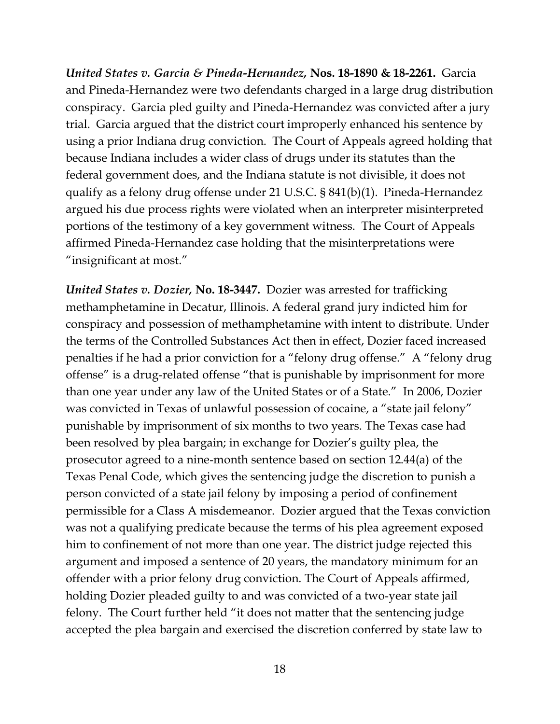*United States v. Garcia & Pineda-Hernandez,* **Nos. 18-1890 & 18-2261.** Garcia and Pineda-Hernandez were two defendants charged in a large drug distribution conspiracy. Garcia pled guilty and Pineda-Hernandez was convicted after a jury trial. Garcia argued that the district court improperly enhanced his sentence by using a prior Indiana drug conviction. The Court of Appeals agreed holding that because Indiana includes a wider class of drugs under its statutes than the federal government does, and the Indiana statute is not divisible, it does not qualify as a felony drug offense under 21 U.S.C. § 841(b)(1). Pineda-Hernandez argued his due process rights were violated when an interpreter misinterpreted portions of the testimony of a key government witness. The Court of Appeals affirmed Pineda-Hernandez case holding that the misinterpretations were "insignificant at most."

*United States v. Dozier,* **No. 18-3447.** Dozier was arrested for trafficking methamphetamine in Decatur, Illinois. A federal grand jury indicted him for conspiracy and possession of methamphetamine with intent to distribute. Under the terms of the Controlled Substances Act then in effect, Dozier faced increased penalties if he had a prior conviction for a "felony drug offense." A "felony drug offense" is a drug‐related offense "that is punishable by imprisonment for more than one year under any law of the United States or of a State." In 2006, Dozier was convicted in Texas of unlawful possession of cocaine, a "state jail felony" punishable by imprisonment of six months to two years. The Texas case had been resolved by plea bargain; in exchange for Dozier's guilty plea, the prosecutor agreed to a nine‐month sentence based on section 12.44(a) of the Texas Penal Code, which gives the sentencing judge the discretion to punish a person convicted of a state jail felony by imposing a period of confinement permissible for a Class A misdemeanor. Dozier argued that the Texas conviction was not a qualifying predicate because the terms of his plea agreement exposed him to confinement of not more than one year. The district judge rejected this argument and imposed a sentence of 20 years, the mandatory minimum for an offender with a prior felony drug conviction. The Court of Appeals affirmed, holding Dozier pleaded guilty to and was convicted of a two‐year state jail felony. The Court further held "it does not matter that the sentencing judge accepted the plea bargain and exercised the discretion conferred by state law to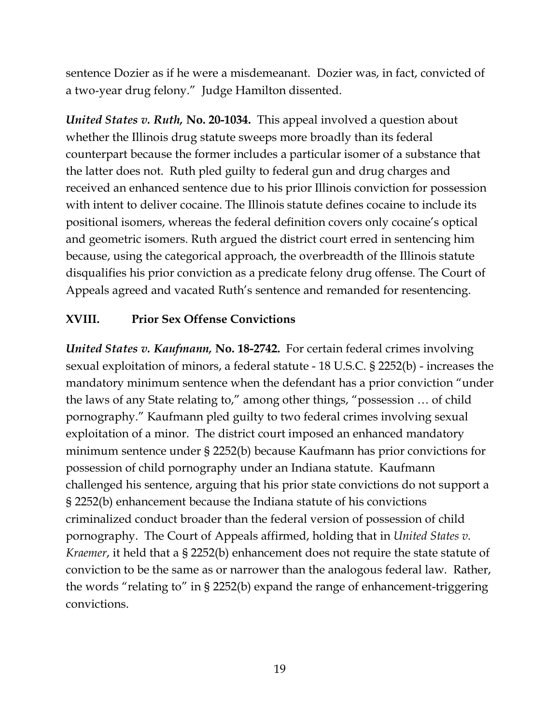sentence Dozier as if he were a misdemeanant. Dozier was, in fact, convicted of a two‐year drug felony." Judge Hamilton dissented.

*United States v. Ruth,* **No. 20-1034.** This appeal involved a question about whether the Illinois drug statute sweeps more broadly than its federal counterpart because the former includes a particular isomer of a substance that the latter does not. Ruth pled guilty to federal gun and drug charges and received an enhanced sentence due to his prior Illinois conviction for possession with intent to deliver cocaine. The Illinois statute defines cocaine to include its positional isomers, whereas the federal definition covers only cocaine's optical and geometric isomers. Ruth argued the district court erred in sentencing him because, using the categorical approach, the overbreadth of the Illinois statute disqualifies his prior conviction as a predicate felony drug offense. The Court of Appeals agreed and vacated Ruth's sentence and remanded for resentencing.

## **XVIII. Prior Sex Offense Convictions**

*United States v. Kaufmann,* **No. 18-2742.** For certain federal crimes involving sexual exploitation of minors, a federal statute - 18 U.S.C. § 2252(b) - increases the mandatory minimum sentence when the defendant has a prior conviction "under the laws of any State relating to," among other things, "possession … of child pornography." Kaufmann pled guilty to two federal crimes involving sexual exploitation of a minor. The district court imposed an enhanced mandatory minimum sentence under § 2252(b) because Kaufmann has prior convictions for possession of child pornography under an Indiana statute. Kaufmann challenged his sentence, arguing that his prior state convictions do not support a § 2252(b) enhancement because the Indiana statute of his convictions criminalized conduct broader than the federal version of possession of child pornography. The Court of Appeals affirmed, holding that in *United States v. Kraemer*, it held that a § 2252(b) enhancement does not require the state statute of conviction to be the same as or narrower than the analogous federal law. Rather, the words "relating to" in § 2252(b) expand the range of enhancement-triggering convictions.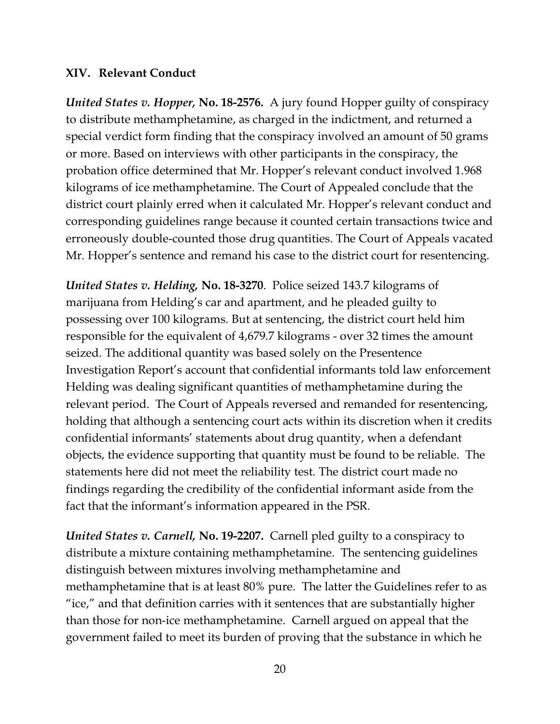#### **XIV. Relevant Conduct**

*United States v. Hopper,* **No. 18-2576.** A jury found Hopper guilty of conspiracy to distribute methamphetamine, as charged in the indictment, and returned a special verdict form finding that the conspiracy involved an amount of 50 grams or more. Based on interviews with other participants in the conspiracy, the probation office determined that Mr. Hopper's relevant conduct involved 1.968 kilograms of ice methamphetamine. The Court of Appealed conclude that the district court plainly erred when it calculated Mr. Hopper's relevant conduct and corresponding guidelines range because it counted certain transactions twice and erroneously double-counted those drug quantities. The Court of Appeals vacated Mr. Hopper's sentence and remand his case to the district court for resentencing.

*United States v. Helding,* **No. 18-3270**. Police seized 143.7 kilograms of marijuana from Helding's car and apartment, and he pleaded guilty to possessing over 100 kilograms. But at sentencing, the district court held him responsible for the equivalent of 4,679.7 kilograms - over 32 times the amount seized. The additional quantity was based solely on the Presentence Investigation Report's account that confidential informants told law enforcement Helding was dealing significant quantities of methamphetamine during the relevant period. The Court of Appeals reversed and remanded for resentencing, holding that although a sentencing court acts within its discretion when it credits confidential informants' statements about drug quantity, when a defendant objects, the evidence supporting that quantity must be found to be reliable. The statements here did not meet the reliability test. The district court made no findings regarding the credibility of the confidential informant aside from the fact that the informant's information appeared in the PSR.

*United States v. Carnell,* **No. 19-2207.** Carnell pled guilty to a conspiracy to distribute a mixture containing methamphetamine. The sentencing guidelines distinguish between mixtures involving methamphetamine and methamphetamine that is at least 80% pure. The latter the Guidelines refer to as "ice," and that definition carries with it sentences that are substantially higher than those for non-ice methamphetamine. Carnell argued on appeal that the government failed to meet its burden of proving that the substance in which he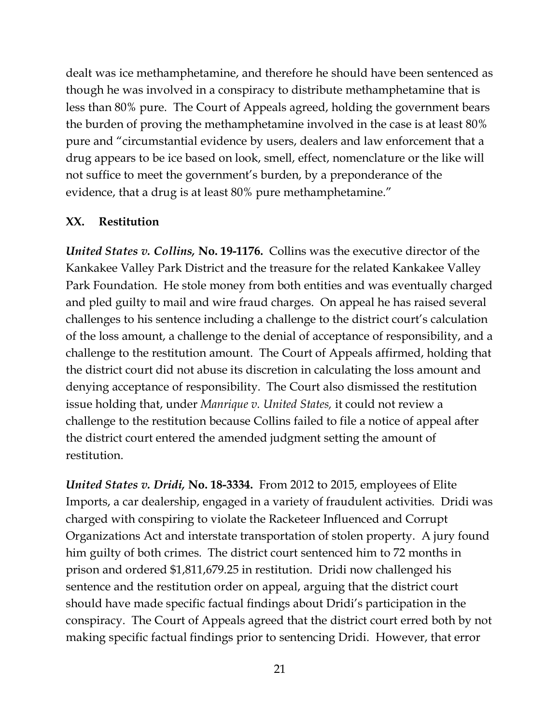dealt was ice methamphetamine, and therefore he should have been sentenced as though he was involved in a conspiracy to distribute methamphetamine that is less than 80% pure. The Court of Appeals agreed, holding the government bears the burden of proving the methamphetamine involved in the case is at least 80% pure and "circumstantial evidence by users, dealers and law enforcement that a drug appears to be ice based on look, smell, effect, nomenclature or the like will not suffice to meet the government's burden, by a preponderance of the evidence, that a drug is at least 80% pure methamphetamine."

#### **XX. Restitution**

*United States v. Collins,* **No. 19-1176.** Collins was the executive director of the Kankakee Valley Park District and the treasure for the related Kankakee Valley Park Foundation. He stole money from both entities and was eventually charged and pled guilty to mail and wire fraud charges. On appeal he has raised several challenges to his sentence including a challenge to the district court's calculation of the loss amount, a challenge to the denial of acceptance of responsibility, and a challenge to the restitution amount. The Court of Appeals affirmed, holding that the district court did not abuse its discretion in calculating the loss amount and denying acceptance of responsibility. The Court also dismissed the restitution issue holding that, under *Manrique v. United States,* it could not review a challenge to the restitution because Collins failed to file a notice of appeal after the district court entered the amended judgment setting the amount of restitution.

*United States v. Dridi,* **No. 18-3334.** From 2012 to 2015, employees of Elite Imports, a car dealership, engaged in a variety of fraudulent activities. Dridi was charged with conspiring to violate the Racketeer Influenced and Corrupt Organizations Act and interstate transportation of stolen property. A jury found him guilty of both crimes. The district court sentenced him to 72 months in prison and ordered \$1,811,679.25 in restitution. Dridi now challenged his sentence and the restitution order on appeal, arguing that the district court should have made specific factual findings about Dridi's participation in the conspiracy. The Court of Appeals agreed that the district court erred both by not making specific factual findings prior to sentencing Dridi. However, that error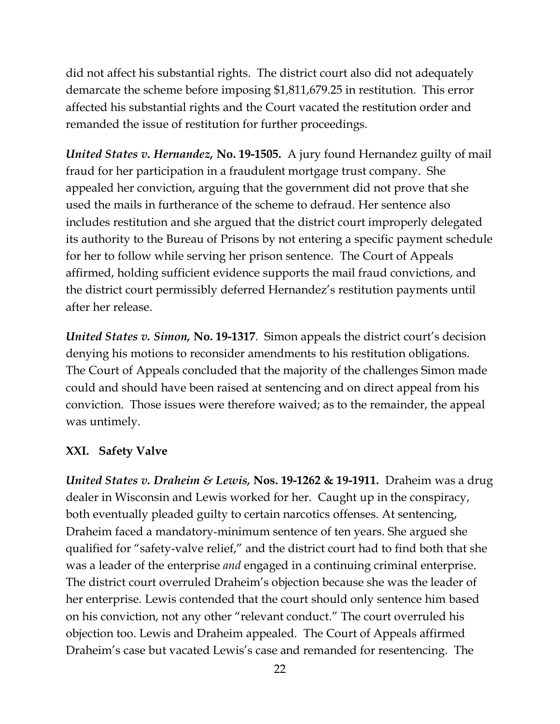did not affect his substantial rights. The district court also did not adequately demarcate the scheme before imposing \$1,811,679.25 in restitution. This error affected his substantial rights and the Court vacated the restitution order and remanded the issue of restitution for further proceedings.

*United States v. Hernandez,* **No. 19-1505.** A jury found Hernandez guilty of mail fraud for her participation in a fraudulent mortgage trust company. She appealed her conviction, arguing that the government did not prove that she used the mails in furtherance of the scheme to defraud. Her sentence also includes restitution and she argued that the district court improperly delegated its authority to the Bureau of Prisons by not entering a specific payment schedule for her to follow while serving her prison sentence. The Court of Appeals affirmed, holding sufficient evidence supports the mail fraud convictions, and the district court permissibly deferred Hernandez's restitution payments until after her release.

*United States v. Simon,* **No. 19-1317**. Simon appeals the district court's decision denying his motions to reconsider amendments to his restitution obligations. The Court of Appeals concluded that the majority of the challenges Simon made could and should have been raised at sentencing and on direct appeal from his conviction. Those issues were therefore waived; as to the remainder, the appeal was untimely.

## **XXI. Safety Valve**

*United States v. Draheim & Lewis,* **Nos. 19-1262 & 19-1911.** Draheim was a drug dealer in Wisconsin and Lewis worked for her. Caught up in the conspiracy, both eventually pleaded guilty to certain narcotics offenses. At sentencing, Draheim faced a mandatory‐minimum sentence of ten years. She argued she qualified for "safety‐valve relief," and the district court had to find both that she was a leader of the enterprise *and* engaged in a continuing criminal enterprise. The district court overruled Draheim's objection because she was the leader of her enterprise. Lewis contended that the court should only sentence him based on his conviction, not any other "relevant conduct." The court overruled his objection too. Lewis and Draheim appealed. The Court of Appeals affirmed Draheim's case but vacated Lewis's case and remanded for resentencing. The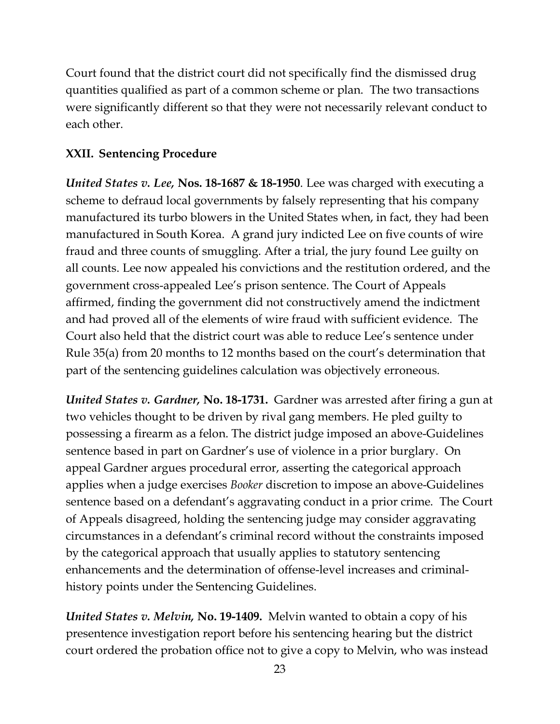Court found that the district court did not specifically find the dismissed drug quantities qualified as part of a common scheme or plan. The two transactions were significantly different so that they were not necessarily relevant conduct to each other.

## **XXII. Sentencing Procedure**

*United States v. Lee,* **Nos. 18-1687 & 18-1950**. Lee was charged with executing a scheme to defraud local governments by falsely representing that his company manufactured its turbo blowers in the United States when, in fact, they had been manufactured in South Korea. A grand jury indicted Lee on five counts of wire fraud and three counts of smuggling. After a trial, the jury found Lee guilty on all counts. Lee now appealed his convictions and the restitution ordered, and the government cross-appealed Lee's prison sentence. The Court of Appeals affirmed, finding the government did not constructively amend the indictment and had proved all of the elements of wire fraud with sufficient evidence. The Court also held that the district court was able to reduce Lee's sentence under Rule 35(a) from 20 months to 12 months based on the court's determination that part of the sentencing guidelines calculation was objectively erroneous.

*United States v. Gardner,* **No. 18-1731.** Gardner was arrested after firing a gun at two vehicles thought to be driven by rival gang members. He pled guilty to possessing a firearm as a felon. The district judge imposed an above-Guidelines sentence based in part on Gardner's use of violence in a prior burglary. On appeal Gardner argues procedural error, asserting the categorical approach applies when a judge exercises *Booker* discretion to impose an above-Guidelines sentence based on a defendant's aggravating conduct in a prior crime. The Court of Appeals disagreed, holding the sentencing judge may consider aggravating circumstances in a defendant's criminal record without the constraints imposed by the categorical approach that usually applies to statutory sentencing enhancements and the determination of offense-level increases and criminalhistory points under the Sentencing Guidelines.

*United States v. Melvin,* **No. 19-1409.** Melvin wanted to obtain a copy of his presentence investigation report before his sentencing hearing but the district court ordered the probation office not to give a copy to Melvin, who was instead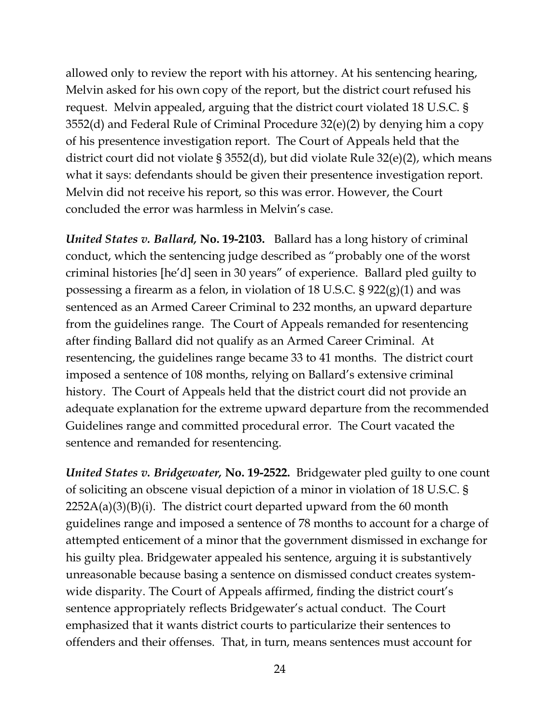allowed only to review the report with his attorney. At his sentencing hearing, Melvin asked for his own copy of the report, but the district court refused his request. Melvin appealed, arguing that the district court violated 18 U.S.C. § 3552(d) and Federal Rule of Criminal Procedure 32(e)(2) by denying him a copy of his presentence investigation report. The Court of Appeals held that the district court did not violate § 3552(d), but did violate Rule 32(e)(2), which means what it says: defendants should be given their presentence investigation report. Melvin did not receive his report, so this was error. However, the Court concluded the error was harmless in Melvin's case.

*United States v. Ballard,* **No. 19-2103.** Ballard has a long history of criminal conduct, which the sentencing judge described as "probably one of the worst criminal histories [he'd] seen in 30 years" of experience. Ballard pled guilty to possessing a firearm as a felon, in violation of 18 U.S.C.  $\S 922(g)(1)$  and was sentenced as an Armed Career Criminal to 232 months, an upward departure from the guidelines range. The Court of Appeals remanded for resentencing after finding Ballard did not qualify as an Armed Career Criminal. At resentencing, the guidelines range became 33 to 41 months. The district court imposed a sentence of 108 months, relying on Ballard's extensive criminal history. The Court of Appeals held that the district court did not provide an adequate explanation for the extreme upward departure from the recommended Guidelines range and committed procedural error. The Court vacated the sentence and remanded for resentencing.

*United States v. Bridgewater,* **No. 19-2522.** Bridgewater pled guilty to one count of soliciting an obscene visual depiction of a minor in violation of 18 U.S.C. §  $2252A(a)(3)(B)(i)$ . The district court departed upward from the 60 month guidelines range and imposed a sentence of 78 months to account for a charge of attempted enticement of a minor that the government dismissed in exchange for his guilty plea. Bridgewater appealed his sentence, arguing it is substantively unreasonable because basing a sentence on dismissed conduct creates systemwide disparity. The Court of Appeals affirmed, finding the district court's sentence appropriately reflects Bridgewater's actual conduct. The Court emphasized that it wants district courts to particularize their sentences to offenders and their offenses. That, in turn, means sentences must account for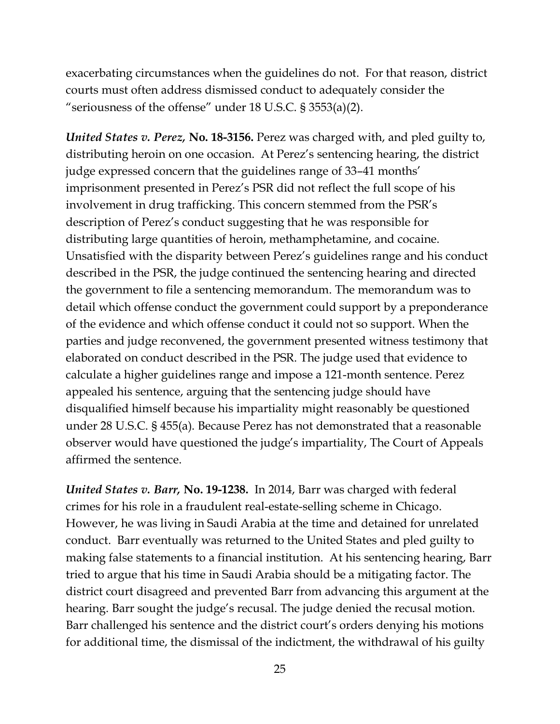exacerbating circumstances when the guidelines do not. For that reason, district courts must often address dismissed conduct to adequately consider the "seriousness of the offense" under 18 U.S.C. § 3553(a)(2).

*United States v. Perez,* **No. 18-3156.** Perez was charged with, and pled guilty to, distributing heroin on one occasion. At Perez's sentencing hearing, the district judge expressed concern that the guidelines range of 33–41 months' imprisonment presented in Perez's PSR did not reflect the full scope of his involvement in drug trafficking. This concern stemmed from the PSR's description of Perez's conduct suggesting that he was responsible for distributing large quantities of heroin, methamphetamine, and cocaine. Unsatisfied with the disparity between Perez's guidelines range and his conduct described in the PSR, the judge continued the sentencing hearing and directed the government to file a sentencing memorandum. The memorandum was to detail which offense conduct the government could support by a preponderance of the evidence and which offense conduct it could not so support. When the parties and judge reconvened, the government presented witness testimony that elaborated on conduct described in the PSR. The judge used that evidence to calculate a higher guidelines range and impose a 121-month sentence. Perez appealed his sentence, arguing that the sentencing judge should have disqualified himself because his impartiality might reasonably be questioned under 28 U.S.C. § 455(a). Because Perez has not demonstrated that a reasonable observer would have questioned the judge's impartiality, The Court of Appeals affirmed the sentence.

*United States v. Barr,* **No. 19-1238.** In 2014, Barr was charged with federal crimes for his role in a fraudulent real-estate-selling scheme in Chicago. However, he was living in Saudi Arabia at the time and detained for unrelated conduct. Barr eventually was returned to the United States and pled guilty to making false statements to a financial institution. At his sentencing hearing, Barr tried to argue that his time in Saudi Arabia should be a mitigating factor. The district court disagreed and prevented Barr from advancing this argument at the hearing. Barr sought the judge's recusal. The judge denied the recusal motion. Barr challenged his sentence and the district court's orders denying his motions for additional time, the dismissal of the indictment, the withdrawal of his guilty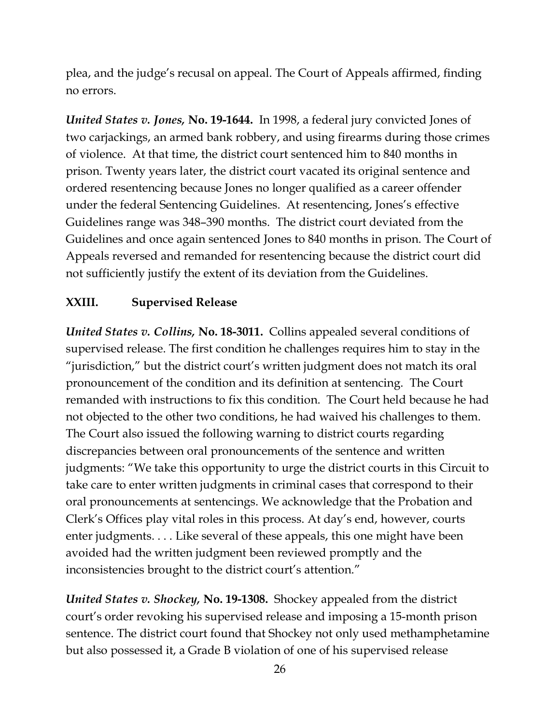plea, and the judge's recusal on appeal. The Court of Appeals affirmed, finding no errors.

*United States v. Jones,* **No. 19-1644.** In 1998, a federal jury convicted Jones of two carjackings, an armed bank robbery, and using firearms during those crimes of violence. At that time, the district court sentenced him to 840 months in prison. Twenty years later, the district court vacated its original sentence and ordered resentencing because Jones no longer qualified as a career offender under the federal Sentencing Guidelines. At resentencing, Jones's effective Guidelines range was 348–390 months. The district court deviated from the Guidelines and once again sentenced Jones to 840 months in prison. The Court of Appeals reversed and remanded for resentencing because the district court did not sufficiently justify the extent of its deviation from the Guidelines.

## **XXIII. Supervised Release**

*United States v. Collins,* **No. 18-3011.** Collins appealed several conditions of supervised release. The first condition he challenges requires him to stay in the "jurisdiction," but the district court's written judgment does not match its oral pronouncement of the condition and its definition at sentencing. The Court remanded with instructions to fix this condition. The Court held because he had not objected to the other two conditions, he had waived his challenges to them. The Court also issued the following warning to district courts regarding discrepancies between oral pronouncements of the sentence and written judgments: "We take this opportunity to urge the district courts in this Circuit to take care to enter written judgments in criminal cases that correspond to their oral pronouncements at sentencings. We acknowledge that the Probation and Clerk's Offices play vital roles in this process. At day's end, however, courts enter judgments. . . . Like several of these appeals, this one might have been avoided had the written judgment been reviewed promptly and the inconsistencies brought to the district court's attention."

*United States v. Shockey,* **No. 19-1308.** Shockey appealed from the district court's order revoking his supervised release and imposing a 15-month prison sentence. The district court found that Shockey not only used methamphetamine but also possessed it, a Grade B violation of one of his supervised release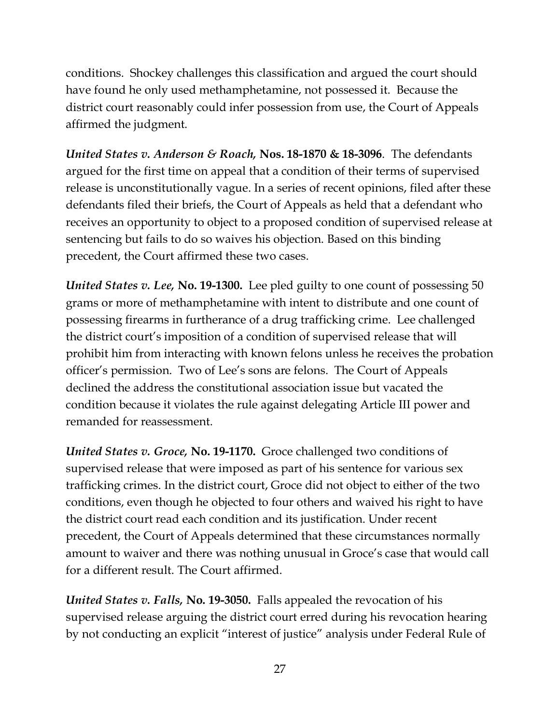conditions. Shockey challenges this classification and argued the court should have found he only used methamphetamine, not possessed it. Because the district court reasonably could infer possession from use, the Court of Appeals affirmed the judgment.

*United States v. Anderson & Roach,* **Nos. 18-1870 & 18-3096**. The defendants argued for the first time on appeal that a condition of their terms of supervised release is unconstitutionally vague. In a series of recent opinions, filed after these defendants filed their briefs, the Court of Appeals as held that a defendant who receives an opportunity to object to a proposed condition of supervised release at sentencing but fails to do so waives his objection. Based on this binding precedent, the Court affirmed these two cases.

*United States v. Lee,* **No. 19-1300.** Lee pled guilty to one count of possessing 50 grams or more of methamphetamine with intent to distribute and one count of possessing firearms in furtherance of a drug trafficking crime. Lee challenged the district court's imposition of a condition of supervised release that will prohibit him from interacting with known felons unless he receives the probation officer's permission. Two of Lee's sons are felons. The Court of Appeals declined the address the constitutional association issue but vacated the condition because it violates the rule against delegating Article III power and remanded for reassessment.

*United States v. Groce,* **No. 19-1170.** Groce challenged two conditions of supervised release that were imposed as part of his sentence for various sex trafficking crimes. In the district court, Groce did not object to either of the two conditions, even though he objected to four others and waived his right to have the district court read each condition and its justification. Under recent precedent, the Court of Appeals determined that these circumstances normally amount to waiver and there was nothing unusual in Groce's case that would call for a different result. The Court affirmed.

*United States v. Falls,* **No. 19-3050.** Falls appealed the revocation of his supervised release arguing the district court erred during his revocation hearing by not conducting an explicit "interest of justice" analysis under Federal Rule of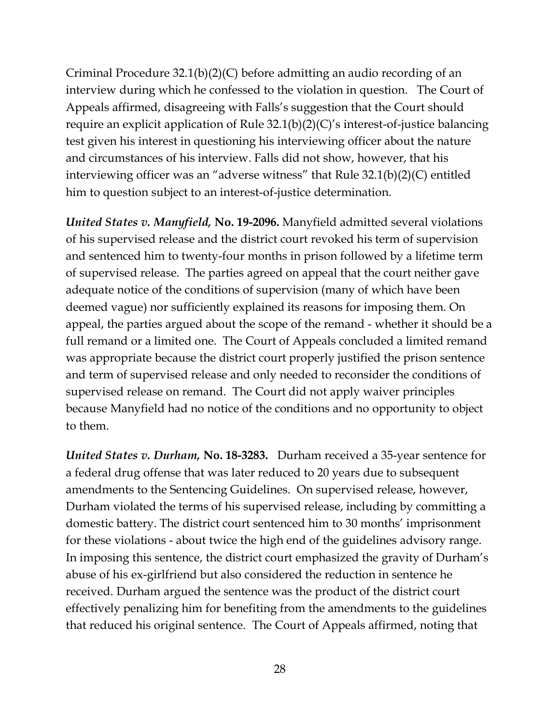Criminal Procedure 32.1(b)(2)(C) before admitting an audio recording of an interview during which he confessed to the violation in question. The Court of Appeals affirmed, disagreeing with Falls's suggestion that the Court should require an explicit application of Rule 32.1(b)(2)(C)'s interest-of-justice balancing test given his interest in questioning his interviewing officer about the nature and circumstances of his interview. Falls did not show, however, that his interviewing officer was an "adverse witness" that Rule 32.1(b)(2)(C) entitled him to question subject to an interest-of-justice determination.

*United States v. Manyfield,* **No. 19-2096.** Manyfield admitted several violations of his supervised release and the district court revoked his term of supervision and sentenced him to twenty-four months in prison followed by a lifetime term of supervised release. The parties agreed on appeal that the court neither gave adequate notice of the conditions of supervision (many of which have been deemed vague) nor sufficiently explained its reasons for imposing them. On appeal, the parties argued about the scope of the remand - whether it should be a full remand or a limited one. The Court of Appeals concluded a limited remand was appropriate because the district court properly justified the prison sentence and term of supervised release and only needed to reconsider the conditions of supervised release on remand. The Court did not apply waiver principles because Manyfield had no notice of the conditions and no opportunity to object to them.

*United States v. Durham,* **No. 18-3283.** Durham received a 35-year sentence for a federal drug offense that was later reduced to 20 years due to subsequent amendments to the Sentencing Guidelines. On supervised release, however, Durham violated the terms of his supervised release, including by committing a domestic battery. The district court sentenced him to 30 months' imprisonment for these violations - about twice the high end of the guidelines advisory range. In imposing this sentence, the district court emphasized the gravity of Durham's abuse of his ex-girlfriend but also considered the reduction in sentence he received. Durham argued the sentence was the product of the district court effectively penalizing him for benefiting from the amendments to the guidelines that reduced his original sentence. The Court of Appeals affirmed, noting that